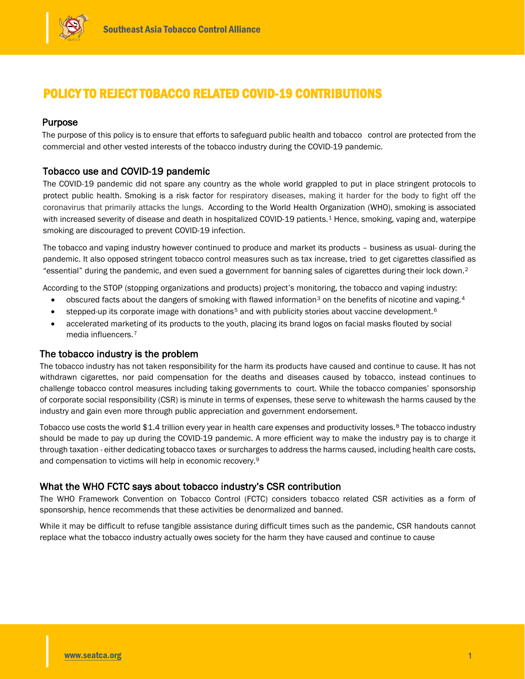

# POLICY TO REJECT TOBACCO RELATED COVID-19 CONTRIBUTIONS

# Purpose

The purpose of this policy is to ensure that efforts to safeguard public health and tobacco control are protected from the commercial and other vested interests of the tobacco industry during the COVID-19 pandemic.

# Tobacco use and COVID-19 pandemic

The COVID-19 pandemic did not spare any country as the whole world grappled to put in place stringent protocols to protect public health. Smoking is a risk factor for respiratory diseases, making it harder for the body to fight off the coronavirus that primarily attacks the lungs. According to the World Health Organization (WHO), smoking is associated with increased severity of disease and death in hospitalized COVID-19 patients.<sup>1</sup> Hence, smoking, vaping and, waterpipe smoking are discouraged to prevent COVID-19 infection.

The tobacco and vaping industry however continued to produce and market its products – business as usual- during the pandemic. It also opposed stringent tobacco control measures such as tax increase, tried to get cigarettes classified as "essential" during the pandemic, and even sued a government for banning sales of cigarettes during their lock down.2

According to the STOP (stopping organizations and products) project's monitoring, the tobacco and vaping industry:

- obscured facts about the dangers of smoking with flawed information<sup>3</sup> on the benefits of nicotine and vaping.<sup>4</sup>
- stepped-up its corporate image with donations<sup>5</sup> and with publicity stories about vaccine development.<sup>6</sup>
- accelerated marketing of its products to the youth, placing its brand logos on facial masks flouted by social media influencers.7

## The tobacco industry is the problem

The tobacco industry has not taken responsibility for the harm its products have caused and continue to cause. It has not withdrawn cigarettes, nor paid compensation for the deaths and diseases caused by tobacco, instead continues to challenge tobacco control measures including taking governments to court. While the tobacco companies' sponsorship of corporate social responsibility (CSR) is minute in terms of expenses, these serve to whitewash the harms caused by the industry and gain even more through public appreciation and government endorsement.

Tobacco use costs the world \$1.4 trillion every year in health care expenses and productivity losses.<sup>8</sup> The tobacco industry should be made to pay up during the COVID-19 pandemic. A more efficient way to make the industry pay is to charge it through taxation - either dedicating tobacco taxes or surcharges to address the harms caused, including health care costs, and compensation to victims will help in economic recovery.9

## What the WHO FCTC says about tobacco industry's CSR contribution

The WHO Framework Convention on Tobacco Control (FCTC) considers tobacco related CSR activities as a form of sponsorship, hence recommends that these activities be denormalized and banned.

While it may be difficult to refuse tangible assistance during difficult times such as the pandemic, CSR handouts cannot replace what the tobacco industry actually owes society for the harm they have caused and continue to cause